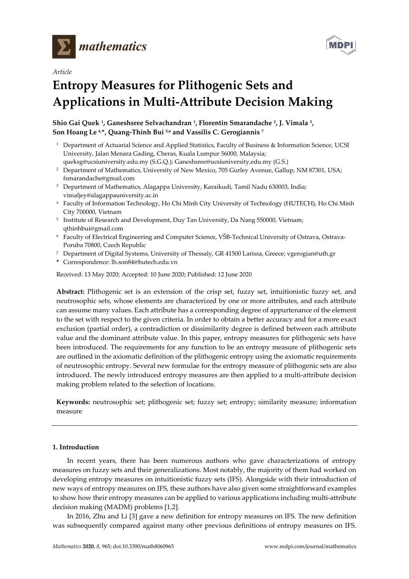

*Article*



# **Entropy Measures for Plithogenic Sets and Applications in Multi-Attribute Decision Making**

## **Shio Gai Quek 1, Ganeshsree Selvachandran 1, Florentin Smarandache 2, J. Vimala 3, Son Hoang Le 4,\*, Quang-Thinh Bui 5,6 and Vassilis C. Gerogiannis <sup>7</sup>**

- <sup>1</sup> Department of Actuarial Science and Applied Statistics, Faculty of Business & Information Science, UCSI University, Jalan Menara Gading, Cheras, Kuala Lumpur 56000, Malaysia; queksg@ucsiuniversity.edu.my (S.G.Q.); Ganeshsree@ucsiuniversity.edu.my (G.S.)
- <sup>2</sup> Department of Mathematics, University of New Mexico, 705 Gurley Avenue, Gallup, NM 87301, USA; fsmarandache@gmail.com
- <sup>3</sup> Department of Mathematics, Alagappa University, Karaikudi, Tamil Nadu 630003, India; vimaljey@alagappauniversity.ac.in
- <sup>4</sup> Faculty of Information Technology, Ho Chi Minh City University of Technology (HUTECH), Ho Chi Minh City 700000, Vietnam
- <sup>5</sup> Institute of Research and Development, Duy Tan University, Da Nang 550000, Vietnam; qthinhbui@gmail.com
- <sup>6</sup> Faculty of Electrical Engineering and Computer Science, VŠB-Technical University of Ostrava, Ostrava-Poruba 70800, Czech Republic
- <sup>7</sup> Department of Digital Systems, University of Thessaly, GR 41500 Larissa, Greece; vgerogian@uth.gr
- **\*** Correspondence: lh.son84@hutech.edu.vn

Received: 13 May 2020; Accepted: 10 June 2020; Published: 12 June 2020

**Abstract:** Plithogenic set is an extension of the crisp set, fuzzy set, intuitionistic fuzzy set, and neutrosophic sets, whose elements are characterized by one or more attributes, and each attribute can assume many values. Each attribute has a corresponding degree of appurtenance of the element to the set with respect to the given criteria. In order to obtain a better accuracy and for a more exact exclusion (partial order), a contradiction or dissimilarity degree is defined between each attribute value and the dominant attribute value. In this paper, entropy measures for plithogenic sets have been introduced. The requirements for any function to be an entropy measure of plithogenic sets are outlined in the axiomatic definition of the plithogenic entropy using the axiomatic requirements of neutrosophic entropy. Several new formulae for the entropy measure of plithogenic sets are also introduced. The newly introduced entropy measures are then applied to a multi-attribute decision making problem related to the selection of locations.

**Keywords:** neutrosophic set; plithogenic set; fuzzy set; entropy; similarity measure; information measure

### **1. Introduction**

In recent years, there has been numerous authors who gave characterizations of entropy measures on fuzzy sets and their generalizations. Most notably, the majority of them had worked on developing entropy measures on intuitionistic fuzzy sets (IFS). Alongside with their introduction of new ways of entropy measures on IFS, these authors have also given some straightforward examples to show how their entropy measures can be applied to various applications including multi-attribute decision making (MADM) problems [1,2].

In 2016, Zhu and Li [3] gave a new definition for entropy measures on IFS. The new definition was subsequently compared against many other previous definitions of entropy measures on IFS.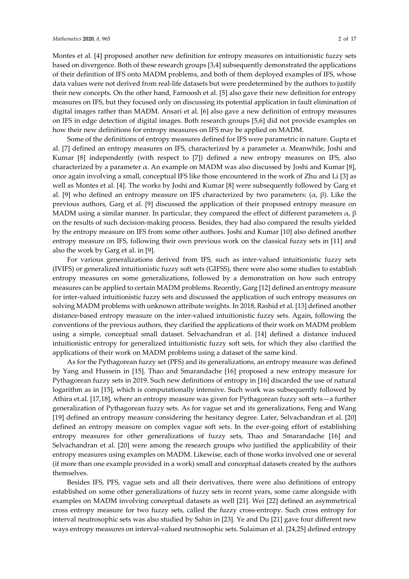Montes et al. [4] proposed another new definition for entropy measures on intuitionistic fuzzy sets based on divergence. Both of these research groups [3,4] subsequently demonstrated the applications of their definition of IFS onto MADM problems, and both of them deployed examples of IFS, whose data values were not derived from real-life datasets but were predetermined by the authors to justify their new concepts. On the other hand, Farnoosh et al. [5] also gave their new definition for entropy measures on IFS, but they focused only on discussing its potential application in fault elimination of digital images rather than MADM. Ansari et al. [6] also gave a new definition of entropy measures on IFS in edge detection of digital images. Both research groups [5,6] did not provide examples on how their new definitions for entropy measures on IFS may be applied on MADM.

Some of the definitions of entropy measures defined for IFS were parametric in nature. Gupta et al. [7] defined an entropy measures on IFS, characterized by a parameter  $\alpha$ . Meanwhile, Joshi and Kumar [8] independently (with respect to [7]) defined a new entropy measures on IFS, also characterized by a parameter  $α$ . An example on MADM was also discussed by Joshi and Kumar [8], once again involving a small, conceptual IFS like those encountered in the work of Zhu and Li [3] as well as Montes et al. [4]. The works by Joshi and Kumar [8] were subsequently followed by Garg et al. [9] who defined an entropy measure on IFS characterized by two parameters:  $(α, β)$ . Like the previous authors, Garg et al. [9] discussed the application of their proposed entropy measure on MADM using a similar manner. In particular, they compared the effect of different parameters  $\alpha$ ,  $\beta$ on the results of such decision-making process. Besides, they had also compared the results yielded by the entropy measure on IFS from some other authors. Joshi and Kumar [10] also defined another entropy measure on IFS, following their own previous work on the classical fuzzy sets in [11] and also the work by Garg et al. in [9].

For various generalizations derived from IFS, such as inter-valued intuitionistic fuzzy sets (IVIFS) or generalized intuitionistic fuzzy soft sets (GIFSS), there were also some studies to establish entropy measures on some generalizations, followed by a demonstration on how such entropy measures can be applied to certain MADM problems. Recently, Garg [12] defined an entropy measure for inter-valued intuitionistic fuzzy sets and discussed the application of such entropy measures on solving MADM problems with unknown attribute weights. In 2018, Rashid et al. [13] defined another distance-based entropy measure on the inter-valued intuitionistic fuzzy sets. Again, following the conventions of the previous authors, they clarified the applications of their work on MADM problem using a simple, conceptual small dataset. Selvachandran et al. [14] defined a distance induced intuitionistic entropy for generalized intuitionistic fuzzy soft sets, for which they also clarified the applications of their work on MADM problems using a dataset of the same kind.

As for the Pythagorean fuzzy set (PFS) and its generalizations, an entropy measure was defined by Yang and Hussein in [15]. Thao and Smarandache [16] proposed a new entropy measure for Pythagorean fuzzy sets in 2019. Such new definitions of entropy in [16] discarded the use of natural logarithm as in [15], which is computationally intensive. Such work was subsequently followed by Athira et.al. [17,18], where an entropy measure was given for Pythagorean fuzzy soft sets—a further generalization of Pythagorean fuzzy sets. As for vague set and its generalizations, Feng and Wang [19] defined an entropy measure considering the hesitancy degree. Later, Selvachandran et al. [20] defined an entropy measure on complex vague soft sets. In the ever-going effort of establishing entropy measures for other generalizations of fuzzy sets, Thao and Smarandache [16] and Selvachandran et al. [20] were among the research groups who justified the applicability of their entropy measures using examples on MADM. Likewise, each of those works involved one or several (if more than one example provided in a work) small and conceptual datasets created by the authors themselves.

Besides IFS, PFS, vague sets and all their derivatives, there were also definitions of entropy established on some other generalizations of fuzzy sets in recent years, some came alongside with examples on MADM involving conceptual datasets as well [21]. Wei [22] defined an asymmetrical cross entropy measure for two fuzzy sets, called the fuzzy cross-entropy. Such cross entropy for interval neutrosophic sets was also studied by Sahin in [23]. Ye and Du [21] gave four different new ways entropy measures on interval-valued neutrosophic sets. Sulaiman et al. [24,25] defined entropy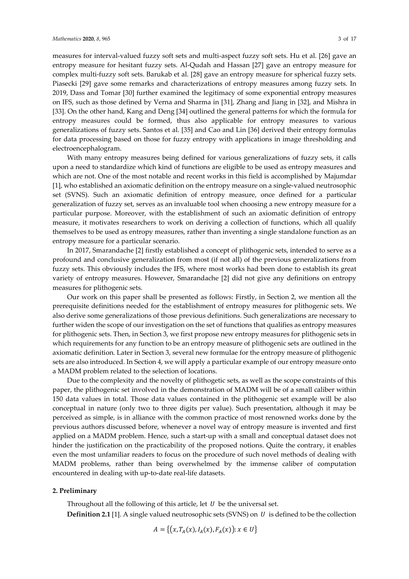measures for interval-valued fuzzy soft sets and multi-aspect fuzzy soft sets. Hu et al. [26] gave an entropy measure for hesitant fuzzy sets. Al-Qudah and Hassan [27] gave an entropy measure for complex multi-fuzzy soft sets. Barukab et al. [28] gave an entropy measure for spherical fuzzy sets. Piasecki [29] gave some remarks and characterizations of entropy measures among fuzzy sets. In 2019, Dass and Tomar [30] further examined the legitimacy of some exponential entropy measures on IFS, such as those defined by Verna and Sharma in [31], Zhang and Jiang in [32], and Mishra in [33]. On the other hand, Kang and Deng [34] outlined the general patterns for which the formula for entropy measures could be formed, thus also applicable for entropy measures to various generalizations of fuzzy sets. Santos et al. [35] and Cao and Lin [36] derived their entropy formulas for data processing based on those for fuzzy entropy with applications in image thresholding and electroencephalogram.

With many entropy measures being defined for various generalizations of fuzzy sets, it calls upon a need to standardize which kind of functions are eligible to be used as entropy measures and which are not. One of the most notable and recent works in this field is accomplished by Majumdar [1], who established an axiomatic definition on the entropy measure on a single-valued neutrosophic set (SVNS). Such an axiomatic definition of entropy measure, once defined for a particular generalization of fuzzy set, serves as an invaluable tool when choosing a new entropy measure for a particular purpose. Moreover, with the establishment of such an axiomatic definition of entropy measure, it motivates researchers to work on deriving a collection of functions, which all qualify themselves to be used as entropy measures, rather than inventing a single standalone function as an entropy measure for a particular scenario.

In 2017, Smarandache [2] firstly established a concept of plithogenic sets, intended to serve as a profound and conclusive generalization from most (if not all) of the previous generalizations from fuzzy sets. This obviously includes the IFS, where most works had been done to establish its great variety of entropy measures. However, Smarandache [2] did not give any definitions on entropy measures for plithogenic sets.

Our work on this paper shall be presented as follows: Firstly, in Section 2, we mention all the prerequisite definitions needed for the establishment of entropy measures for plithogenic sets. We also derive some generalizations of those previous definitions. Such generalizations are necessary to further widen the scope of our investigation on the set of functions that qualifies as entropy measures for plithogenic sets. Then, in Section 3, we first propose new entropy measures for plithogenic sets in which requirements for any function to be an entropy measure of plithogenic sets are outlined in the axiomatic definition. Later in Section 3, several new formulae for the entropy measure of plithogenic sets are also introduced. In Section 4, we will apply a particular example of our entropy measure onto a MADM problem related to the selection of locations.

Due to the complexity and the novelty of plithogetic sets, as well as the scope constraints of this paper, the plithogenic set involved in the demonstration of MADM will be of a small caliber within 150 data values in total. Those data values contained in the plithogenic set example will be also conceptual in nature (only two to three digits per value). Such presentation, although it may be perceived as simple, is in alliance with the common practice of most renowned works done by the previous authors discussed before, whenever a novel way of entropy measure is invented and first applied on a MADM problem. Hence, such a start-up with a small and conceptual dataset does not hinder the justification on the practicability of the proposed notions. Quite the contrary, it enables even the most unfamiliar readers to focus on the procedure of such novel methods of dealing with MADM problems, rather than being overwhelmed by the immense caliber of computation encountered in dealing with up-to-date real-life datasets.

#### **2. Preliminary**

Throughout all the following of this article, let  $U$  be the universal set. **Definition 2.1** [1]. A single valued neutrosophic sets (SVNS) on  $U$  is defined to be the collection

$$
A = \{(x, T_A(x), I_A(x), F_A(x)) : x \in U\}
$$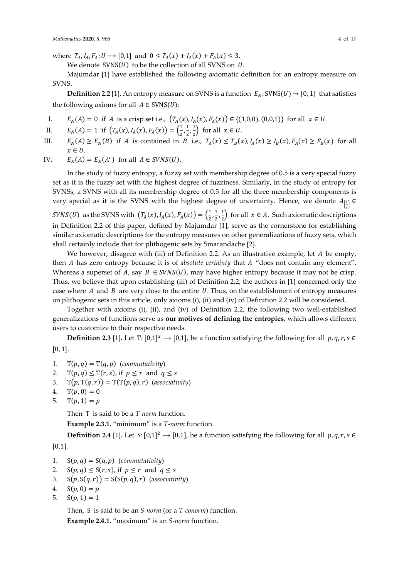where  $T_A$ ,  $I_A$ ,  $F_A$ :  $U \to [0,1]$  and  $0 \le T_A(x) + I_A(x) + F_A(x) \le 3$ .

We denote  $S VNS(U)$  to be the collection of all SVNS on  $U$ .

Majumdar [1] have established the following axiomatic definition for an entropy measure on SVNS.

**Definition 2.2** [1]. An entropy measure on SVNS is a function  $E_N$ : SVNS(U)  $\rightarrow$  [0, 1] that satisfies the following axioms for all  $A \in \text{SWS}(U)$ :

- I.  $E_N(A) = 0$  if A is a crisp set i.e.,  $(T_A(x), I_A(x), F_A(x)) \in \{(1,0,0), (0,0,1)\}$  for all  $x \in U$ .
- II.  $E_N(A) = 1$  if  $(T_A(x), I_A(x), F_A(x)) = \left(\frac{1}{2}, \frac{1}{2}, \frac{1}{2}\right)$  $\frac{1}{2}$  for all  $x \in U$ .
- III.  $E_N(A) \ge E_N(B)$  if A is contained in B i.e.,  $T_A(x) \le T_B(x)$ ,  $I_A(x) \ge I_B(x)$ ,  $F_A(x) \ge F_B(x)$  for all  $x \in H$

IV.  $E_N(A) = E_N(A^c)$  for all  $A \in SVNS(U)$ .

In the study of fuzzy entropy, a fuzzy set with membership degree of 0.5 is a very special fuzzy set as it is the fuzzy set with the highest degree of fuzziness. Similarly, in the study of entropy for SVNSs, a SVNS with all its membership degree of 0.5 for all the three membership components is very special as it is the SVNS with the highest degree of uncertainty. Hence, we denote  $A_{\left[\frac{1}{2}\right]} \in$ 

*SVNS*(*U*) as the SVNS with  $(T_A(x), I_A(x), F_A(x)) = (\frac{1}{2}, \frac{1}{2}, \frac{1}{2})$  $\frac{1}{2}$  for all  $x \in A$ . Such axiomatic descriptions in Definition 2.2 of this paper, defined by Majumdar [1], serve as the cornerstone for establishing similar axiomatic descriptions for the entropy measures on other generalizations of fuzzy sets, which shall certainly include that for plithogenic sets by Smarandache [2].

We however, disagree with (iii) of Definition 2.2. As an illustrative example, let  $A$  be empty, then *A* has zero entropy because it is of *absolute certainty* that *A* "does not contain any element". Whereas a superset of A, say  $B \in SVNS(U)$ , may have higher entropy because it may not be crisp. Thus, we believe that upon establishing (iii) of Definition 2.2, the authors in [1] concerned only the case where  $A$  and  $B$  are very close to the entire  $U$ . Thus, on the establishment of entropy measures on plithogenic sets in this article, only axioms (i), (ii) and (iv) of Definition 2.2 will be considered.

Together with axioms (i), (ii), and (iv) of Definition 2.2, the following two well-established generalizations of functions serve as **our motives of defining the entropies**, which allows different users to customize to their respective needs.

**Definition 2.3** [1]. Let T:  $[0,1]^2 \rightarrow [0,1]$ , be a function satisfying the following for all  $p, q, r, s \in$  $[0, 1].$ 

- 1.  $T(p, q) = T(q, p)$  (*commutativity*)
- 2.  $T(p,q) \leq T(r,s)$ , if  $p \leq r$  and  $q \leq s$
- 3.  $T(p, T(q, r)) = T(T(p, q), r)$  (associativity)
- 4.  $T(p, 0) = 0$
- 5.  $T(p, 1) = p$

Then T is said to be a *T-norm* function.

**Example 2.3.1.** "minimum" is a *T-norm* function.

**Definition 2.4** [1]. Let S:  $[0,1]^2 \rightarrow [0,1]$ , be a function satisfying the following for all  $p, q, r, s \in$ 

 $[0,1]$ .

- 1.  $S(p, q) = S(q, p)$  (*commutativity*)
- 2.  $S(p,q) \leq S(r,s)$ , if  $p \leq r$  and  $q \leq s$
- 3.  $S(p, S(q, r)) = S(S(p, q), r)$  (*associativity*)
- 4.  $S(p, 0) = p$
- 5.  $S(p, 1) = 1$

Then, S is said to be an *S-norm* (or a *T-conorm*) function. **Example 2.4.1.** "maximum" is an *S-norm* function.

 $\overline{c}$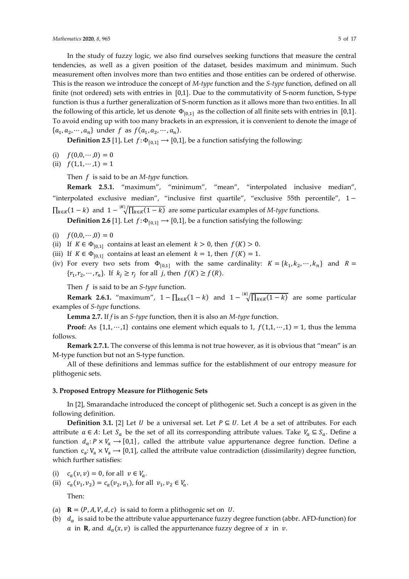In the study of fuzzy logic, we also find ourselves seeking functions that measure the central tendencies, as well as a given position of the dataset, besides maximum and minimum. Such measurement often involves more than two entities and those entities can be ordered of otherwise. This is the reason we introduce the concept of *M-type* function and the *S-type* function, defined on all finite (not ordered) sets with entries in  $[0,1]$ . Due to the commutativity of S-norm function, S-type function is thus a further generalization of S-norm function as it allows more than two entities. In all the following of this article, let us denote  $\Phi_{[0,1]}$  as the collection of all finite sets with entries in [0,1]. To avoid ending up with too many brackets in an expression, it is convenient to denote the image of  ${a_1, a_2, \cdots, a_n}$  under f as  $f(a_1, a_2, \cdots, a_n)$ .

**Definition 2.5** [1]. Let  $f: \Phi_{[0,1]} \to [0,1]$ , be a function satisfying the following:

- (i)  $f(0,0, \dots, 0) = 0$
- (ii)  $f(1,1, \dots, 1) = 1$

Then f is said to be an *M-type* function.

**Remark 2.5.1.** "maximum", "minimum", "mean", "interpolated inclusive median", "interpolated exclusive median", "inclusive first quartile", "exclusive 55th percentile", 1 −  $\prod_{k \in K} (1 - k)$  and  $1 - \frac{|K|}{\sqrt{\prod_{k \in K} (1 - k)}}$  are some particular examples of *M-type* functions.

**Definition 2.6** [1]. Let  $f: \Phi_{[0,1]} \to [0,1]$ , be a function satisfying the following:

- (i)  $f(0,0, \dots, 0) = 0$
- (ii) If  $K \in \Phi_{[0,1]}$  contains at least an element  $k > 0$ , then  $f(K) > 0$ .
- (iii) If  $K \in \Phi_{[0,1]}$  contains at least an element  $k = 1$ , then  $f(K) = 1$ .
- (iv) For every two sets from  $\Phi_{[0,1]}$  with the same cardinality:  $K = \{k_1, k_2, \dots, k_n\}$  and  $R =$  $\{r_1, r_2, \cdots, r_n\}$ . If  $k_i \geq r_i$  for all j, then  $f(K) \geq f(R)$ .

Then  $f$  is said to be an  $S$ -type function.

**Remark 2.6.1.** "maximum",  $1 - \prod_{k \in K} (1 - k)$  and  $1 - \frac{|K|}{\sqrt{\prod_{k \in K} (1 - k)}}$  are some particular examples of *S-type* functions.

**Lemma 2.7.** If *f* is an *S-type* function, then it is also an *M-type* function.

**Proof:** As  $\{1,1,\dots,1\}$  contains one element which equals to 1,  $f(1,1,\dots,1) = 1$ , thus the lemma follows.

**Remark 2.7.1.** The converse of this lemma is not true however, as it is obvious that "mean" is an M-type function but not an S-type function.

All of these definitions and lemmas suffice for the establishment of our entropy measure for plithogenic sets.

#### **3. Proposed Entropy Measure for Plithogenic Sets**

In [2], Smarandache introduced the concept of plithogenic set. Such a concept is as given in the following definition.

**Definition 3.1.** [2] Let *U* be a universal set. Let  $P \subseteq U$ . Let *A* be a set of attributes. For each attribute  $a \in A$ : Let  $S_a$  be the set of all its corresponding attribute values. Take  $V_a \subseteq S_a$ . Define a function  $d_a$ :  $P \times V_a \rightarrow [0,1]$ , called the attribute value appurtenance degree function. Define a function  $c_a: V_a \times V_a \rightarrow [0,1]$ , called the attribute value contradiction (dissimilarity) degree function, which further satisfies:

- (i)  $c_a(v, v) = 0$ , for all  $v \in V_a$ .
- (ii)  $c_a(v_1, v_2) = c_a(v_2, v_1)$ , for all  $v_1, v_2 \in V_a$ .

Then:

- (a)  $\mathbf{R} = \langle P, A, V, d, c \rangle$  is said to form a plithogenic set on U.
- (b)  $d_a$  is said to be the attribute value appurtenance fuzzy degree function (abbr. AFD-function) for *a* in **R**, and  $d_a(x, v)$  is called the appurtenance fuzzy degree of *x* in *v*.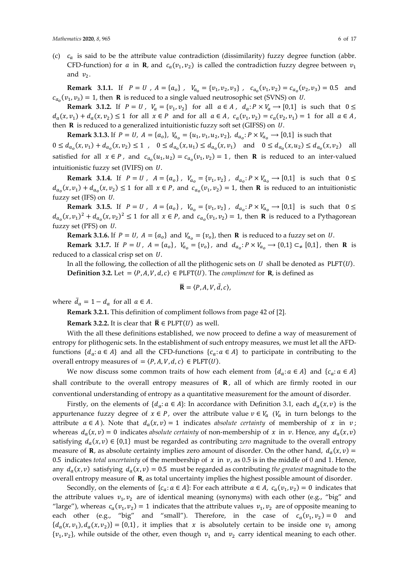(c)  $c_a$  is said to be the attribute value contradiction (dissimilarity) fuzzy degree function (abbr. CFD-function) for a in **R**, and  $c_a(v_1, v_2)$  is called the contradiction fuzzy degree between  $v_1$ and  $v_2$ .

**Remark 3.1.1.** If  $P = U$ ,  $A = \{a_0\}$ ,  $V_{a_0} = \{v_1, v_2, v_3\}$ ,  $c_{a_0}(v_1, v_2) = c_{a_0}(v_2, v_3) = 0.5$  and  $c_{a}$  $(v_1, v_3) = 1$ , then **R** is reduced to a single valued neutrosophic set (SVNS) on *U*.

**Remark 3.1.2.** If  $P = U$ ,  $V_a = \{v_1, v_2\}$  for all  $a \in A$ ,  $d_a: P \times V_a \rightarrow [0,1]$  is such that  $0 \leq$  $d_a(x, v_1) + d_a(x, v_2) \le 1$  for all  $x \in P$  and for all  $a \in A$ ,  $c_a(v_1, v_2) = c_a(v_2, v_1) = 1$  for all  $a \in A$ , then  $R$  is reduced to a generalized intuitionistic fuzzy soft set (GIFSS) on  $U$ .

**Remark 3.1.3.** If  $P = U$ ,  $A = \{a_0\}$ ,  $V_{a_0} = \{u_1, v_1, u_2, v_2\}$ ,  $d_{a_0}: P \times V_{a_0} \to [0,1]$  is such that  $0 \leq d_{a_0}(x, v_1) + d_{a_0}(x, v_2) \leq 1$ ,  $0 \leq d_{a_0}(x, u_1) \leq d_{a_0}(x, v_1)$  and  $0 \leq d_{a_0}(x, u_2) \leq d_{a_0}(x, v_2)$  all satisfied for all  $x \in P$ , and  $c_{a_0}(u_1, u_2) = c_{a_0}(v_1, v_2) = 1$ , then **R** is reduced to an inter-valued intuitionistic fuzzy set (IVIFS) on  $U$ .

**Remark 3.1.4.** If  $P = U$ ,  $A = \{a_0\}$ ,  $V_{a_0} = \{v_1, v_2\}$ ,  $d_{a_0}: P \times V_{a_0} \to [0,1]$  is such that  $0 \leq$  $d_{a_0}(x, v_1) + d_{a_0}(x, v_2) \le 1$  for all  $x \in P$ , and  $c_{a_0}(v_1, v_2) = 1$ , then **R** is reduced to an intuitionistic fuzzy set (IFS) on  $U$ .

**Remark 3.1.5.** If  $P = U$ ,  $A = \{a_0\}$ ,  $V_{a_0} = \{v_1, v_2\}$ ,  $d_{a_0}: P \times V_{a_0} \to [0,1]$  is such that  $0 \leq$  $d_{a_0}(x, v_1)^2 + d_{a_0}(x, v_2)^2 \le 1$  for all  $x \in P$ , and  $c_{a_0}(v_1, v_2) = 1$ , then **R** is reduced to a Pythagorean fuzzy set (PFS) on  $U$ .

**Remark 3.1.6.** If  $P = U$ ,  $A = \{a_0\}$  and  $V_{a_0} = \{v_0\}$ , then **R** is reduced to a fuzzy set on U.

**Remark 3.1.7.** If  $P = U$ ,  $A = \{a_0\}$ ,  $V_{a_0} = \{v_0\}$ , and  $d_{a_0}: P \times V_{a_0} \to \{0,1\} \subset \{0,1\}$ , then **R** is reduced to a classical crisp set on  $U$ .

In all the following, the collection of all the plithogenic sets on  $U$  shall be denoted as  $PLFT(U)$ . **Definition 3.2.** Let =  $\langle P, A, V, d, c \rangle \in PLFT(U)$ . The *compliment* for **R**, is defined as

$$
\overline{\mathbf{R}} = \langle P, A, V, \overline{d}, c \rangle,
$$

where  $\bar{d}_a = 1 - d_a$  for all  $a \in A$ .

**Remark 3.2.1.** This definition of compliment follows from page 42 of [2].

**Remark 3.2.2.** It is clear that  $\overline{R} \in PLFT(U)$  as well.

With the all these definitions established, we now proceed to define a way of measurement of entropy for plithogenic sets. In the establishment of such entropy measures, we must let all the AFDfunctions  $\{d_a: a \in A\}$  and all the CFD-functions  $\{c_a: a \in A\}$  to participate in contributing to the overall entropy measures of =  $\langle P, A, V, d, c \rangle \in PLFT(U)$ .

We now discuss some common traits of how each element from  $\{d_a : a \in A\}$  and  $\{c_a : a \in A\}$ shall contribute to the overall entropy measures of  $\bf{R}$ , all of which are firmly rooted in our conventional understanding of entropy as a quantitative measurement for the amount of disorder.

Firstly, on the elements of  $\{d_a : a \in A\}$ : In accordance with Definition 3.1, each  $d_a(x, v)$  is the appurtenance fuzzy degree of  $x \in P$ , over the attribute value  $v \in V_a$  ( $V_a$  in turn belongs to the attribute  $a \in A$ ). Note that  $d_a(x, v) = 1$  indicates *absolute certainty* of membership of x in v; whereas  $d_a(x, v) = 0$  indicates *absolute certainty* of non-membership of x in v. Hence, any  $d_a(x, v)$ satisfying  $d_a(x, v) \in \{0, 1\}$  must be regarded as contributing *zero* magnitude to the overall entropy measure of **R**, as absolute certainty implies zero amount of disorder. On the other hand,  $d_a(x, v)$  = 0.5 indicates *total uncertainty* of the membership of  $x$  in  $v$ , as 0.5 is in the middle of 0 and 1. Hence, any  $d_a(x, v)$  satisfying  $d_a(x, v) = 0.5$  must be regarded as contributing *the greatest* magnitude to the overall entropy measure of  $R$ , as total uncertainty implies the highest possible amount of disorder.

Secondly, on the elements of  $\{c_a : a \in A\}$ : For each attribute  $a \in A$ ,  $c_a(v_1, v_2) = 0$  indicates that the attribute values  $v_1, v_2$  are of identical meaning (synonyms) with each other (e.g., "big" and "large"), whereas  $c_a(v_1, v_2) = 1$  indicates that the attribute values  $v_1, v_2$  are of opposite meaning to each other (e.g., "big" and "small"). Therefore, in the case of  $c_a(v_1, v_2) = 0$  and  ${d_a(x, v_1), d_a(x, v_2)} = {0,1}$ , it implies that x is absolutely certain to be inside one  $v_i$  among  $\{v_1, v_2\}$ , while outside of the other, even though  $v_1$  and  $v_2$  carry identical meaning to each other.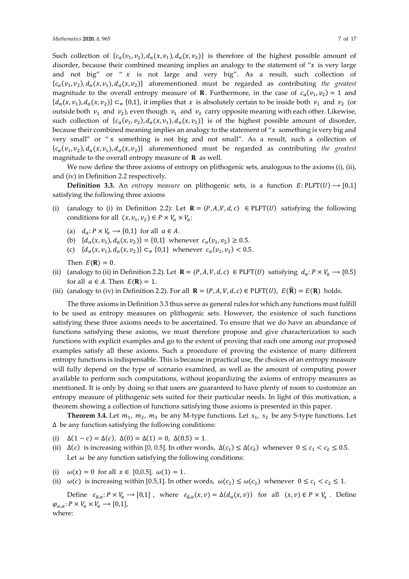Such collection of  $\{c_a(v_1, v_2), d_a(x, v_1), d_a(x, v_2)\}$  is therefore of the highest possible amount of disorder, because their combined meaning implies an analogy to the statement of " $x$  is very large and not big" or " $x$  is not large and very big". As a result, such collection of  ${c_a(v_1, v_2), d_a(x, v_1), d_a(x, v_2)}$  aforementioned must be regarded as contributing the greatest magnitude to the overall entropy measure of **R**. Furthermore, in the case of  $c_a(v_1, v_2) = 1$  and  ${d_a(x, v_1), d_a(x, v_2)} \subset_{\neq} \{0,1\}$ , it implies that x is absolutely certain to be inside both  $v_1$  and  $v_2$  (or outside both  $v_1$  and  $v_2$ ), even though  $v_1$  and  $v_2$  carry opposite meaning with each other. Likewise, such collection of  $\{c_a(v_1, v_2), d_a(x, v_1), d_a(x, v_2)\}$  is of the highest possible amount of disorder, because their combined meaning implies an analogy to the statement of " $x$  something is very big and very small" or " x something is not big and not small". As a result, such a collection of  ${c_a(v_1, v_2), d_a(x, v_1), d_a(x, v_2)}$  aforementioned must be regarded as contributing *the greatest* magnitude to the overall entropy measure of  $\bf R$  as well.

We now define the three axioms of entropy on plithogenic sets, analogous to the axioms (i), (ii), and (iv) in Definition 2.2 respectively.

**Definition 3.3.** An *entropy measure* on plithogenic sets, is a function  $E: PLFT(U) \rightarrow [0,1]$ satisfying the following three axioms

- (i) (analogy to (i) in Definition 2.2): Let  $\mathbf{R} = \langle P, A, V, d, c \rangle$   $\in$  PLFT(U) satisfying the following conditions for all  $(x, v_1, v_2) \in P \times V_a \times V_a$ :
	- (a)  $d_a: P \times V_a \longrightarrow \{0,1\}$  for all  $a \in A$ .
	- (b)  $\{d_a(x, v_1), d_a(x, v_2)\} = \{0, 1\}$  whenever  $c_a(v_1, v_2) \ge 0.5$ .
	- (c)  $\{d_a(x, v_1), d_a(x, v_2)\} \subset \{0, 1\}$  whenever  $c_a(v_1, v_2) < 0.5$ .

Then  $E(\mathbf{R}) = 0$ .

- (ii) (analogy to (ii) in Definition 2.2). Let  $\mathbf{R} = \langle P, A, V, d, c \rangle \in PLFT(U)$  satisfying  $d_a: P \times V_a \to \{0.5\}$ for all  $a \in A$ . Then  $E(\mathbf{R}) = 1$ .
- (iii) (analogy to (iv) in Definition 2.2). For all  $\mathbf{R} = \langle P, A, V, d, c \rangle \in PLFT(U)$ ,  $E(\overline{\mathbf{R}}) = E(\mathbf{R})$  holds.

The three axioms in Definition 3.3 thus serve as general rules for which any functions must fulfill to be used as entropy measures on plithogenic sets. However, the existence of such functions satisfying these three axioms needs to be ascertained. To ensure that we do have an abundance of functions satisfying these axioms, we must therefore propose and give characterization to such functions with explicit examples and go to the extent of proving that each one among our proposed examples satisfy all these axioms. Such a procedure of proving the existence of many different entropy functions is indispensable. This is because in practical use, the choices of an entropy measure will fully depend on the type of scenario examined, as well as the amount of computing power available to perform such computations, without jeopardizing the axioms of entropy measures as mentioned. It is only by doing so that users are guaranteed to have plenty of room to customize an entropy measure of plithogenic sets suited for their particular needs. In light of this motivation, a theorem showing a collection of functions satisfying those axioms is presented in this paper.

**Theorem 3.4.** Let  $m_1$ ,  $m_2$ ,  $m_3$  be any M-type functions. Let  $s_1$ ,  $s_2$  be any S-type functions. Let Δ be any function satisfying the following conditions:

(i)  $\Delta(1 - c) = \Delta(c)$ ,  $\Delta(0) = \Delta(1) = 0$ ,  $\Delta(0.5) = 1$ .

- (ii)  $\Delta(c)$  is increasing within [0, 0.5]. In other words,  $\Delta(c_1) \leq \Delta(c_2)$  whenever  $0 \leq c_1 < c_2 \leq 0.5$ . Let  $\omega$  be any function satisfying the following conditions:
- (i)  $\omega(x) = 0$  for all  $x \in [0, 0.5]$ ,  $\omega(1) = 1$ .
- (ii)  $\omega(c)$  is increasing within [0.5,1]. In other words,  $\omega(c_1) \leq \omega(c_2)$  whenever  $0 \leq c_1 < c_2 \leq 1$ .

Define  $\varepsilon_{\Delta,a} : P \times V_a \to [0,1]$ , where  $\varepsilon_{\Delta,a}(x, v) = \Delta(d_a(x, v))$  for all  $(x, v) \in P \times V_a$ . Define  $\varphi_{\omega,a} : P \times V_a \times V_a \longrightarrow [0,1],$ 

where: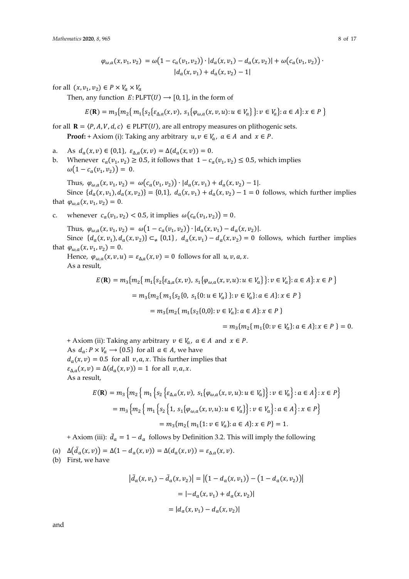$$
\varphi_{\omega,a}(x, v_1, v_2) = \omega(1 - c_a(v_1, v_2)) \cdot |d_a(x, v_1) - d_a(x, v_2)| + \omega(c_a(v_1, v_2)) \cdot |d_a(x, v_1) + d_a(x, v_2) - 1|
$$

for all  $(x, v_1, v_2) \in P \times V_a \times V_a$ 

Then, any function  $E: PLFT(U) \rightarrow [0, 1]$ , in the form of

$$
E(\mathbf{R}) = m_3 \{ m_2 \{ m_1 \{ s_2 \{ \varepsilon_{\Delta,a}(x, v), s_1 \{ \varphi_{\omega,a}(x, v, u): u \in V_a \} \} : v \in V_a \} : a \in A \} : x \in P \}
$$

for all  $\mathbf{R} = \langle P, A, V, d, c \rangle \in PLFT(U)$ , are all entropy measures on plithogenic sets.

**Proof:**  $+$  Axiom (i): Taking any arbitrary  $u, v \in V_a$ ,  $a \in A$  and  $x \in P$ .

- a. As  $d_a(x, v) \in \{0, 1\}$ ,  $\varepsilon_{\Delta, a}(x, v) = \Delta(d_a(x, v)) = 0$ .
- b. Whenever  $c_a(v_1, v_2) \ge 0.5$ , it follows that  $1 c_a(v_1, v_2) \le 0.5$ , which implies  $\omega(1 - c_a(v_1, v_2)) = 0.$

Thus,  $\varphi_{\omega,a}(x, v_1, v_2) = \omega(c_a(v_1, v_2)) \cdot |d_a(x, v_1) + d_a(x, v_2) - 1|.$ Since  $\{d_a(x, v_1), d_a(x, v_2)\} = \{0, 1\}, d_a(x, v_1) + d_a(x, v_2) - 1 = 0$  follows, which further implies that  $\varphi_{\omega, a}(x, v_1, v_2) = 0$ .

c. whenever  $c_a(v_1, v_2) < 0.5$ , it implies  $\omega(c_a(v_1, v_2)) = 0$ .

Thus,  $\varphi_{\omega,a}(x, v_1, v_2) = \omega(1 - c_a(v_1, v_2)) \cdot |d_a(x, v_1) - d_a(x, v_2)|.$ Since  $\{d_a(x, v_1), d_a(x, v_2)\}\subset_{\neq} \{0,1\}$ ,  $d_a(x, v_1) - d_a(x, v_2) = 0$  follows, which further implies

that  $\varphi_{\omega, a}(x, v_1, v_2) = 0$ .

Hence,  $\varphi_{\omega, a}(x, v, u) = \varepsilon_{\Delta, a}(x, v) = 0$  follows for all  $u, v, a, x$ . As a result,

$$
E(\mathbf{R}) = m_3 \{ m_2 \{ m_1 \{ s_2 \{ \varepsilon_{\Delta,a}(x, v), s_1 \{ \varphi_{\omega,a}(x, v, u): u \in V_a \} \} : v \in V_a \} : a \in A \} : x \in P \}
$$
  
=  $m_3 \{ m_2 \{ m_1 \{ s_2 \{ 0, s_1 \{ 0: u \in V_a \} \} : v \in V_a \} : a \in A \} : x \in P \}$   
=  $m_3 \{ m_2 \{ m_1 \{ s_2 \{ 0, 0\} : v \in V_a \} : a \in A \} : x \in P \}$ 

$$
= m_3\{m_2\{m_1\{0: \nu \in V_a\}: a \in A\}: x \in P\} = 0.
$$

+ Axiom (ii): Taking any arbitrary  $v \in V_a$ ,  $a \in A$  and  $x \in P$ . As  $d_a: P \times V_a \longrightarrow \{0.5\}$  for all  $a \in A$ , we have  $d_a(x, v) = 0.5$  for all  $v, a, x$ . This further implies that  $\varepsilon_{\Delta,a}(x, v) = \Delta(d_a(x, v)) = 1$  for all  $v, a, x$ . As a result,

$$
E(\mathbf{R}) = m_3 \{ m_2 \{ m_1 \{ s_2 \{ \varepsilon_{\Delta,a}(x, v), s_1 \{ \varphi_{\omega,a}(x, v, u): u \in V_a \} \} : v \in V_a \} : a \in A \} : x \in P \}
$$
  
=  $m_3 \{ m_2 \{ m_1 \{ s_2 \{ 1, s_1 \{ \varphi_{\omega,a}(x, v, u): u \in V_a \} \} : v \in V_a \} : a \in A \} : x \in P \}$   
=  $m_3 \{ m_2 \{ m_1 \{ 1 : v \in V_a \} : a \in A \} : x \in P \} = 1.$ 

+ Axiom (iii):  $\bar{d}_a = 1 - d_a$  follows by Definition 3.2. This will imply the following

(a)  $\Delta(\bar{d}_a(x,v)) = \Delta(1 - d_a(x,v)) = \Delta(d_a(x,v)) = \varepsilon_{\Delta,a}(x,v).$ 

(b) First, we have

$$
|\bar{d}_a(x, v_1) - \bar{d}_a(x, v_2)| = |(1 - d_a(x, v_1)) - (1 - d_a(x, v_2))|
$$
  

$$
= |-d_a(x, v_1) + d_a(x, v_2)|
$$
  

$$
= |d_a(x, v_1) - d_a(x, v_2)|
$$

and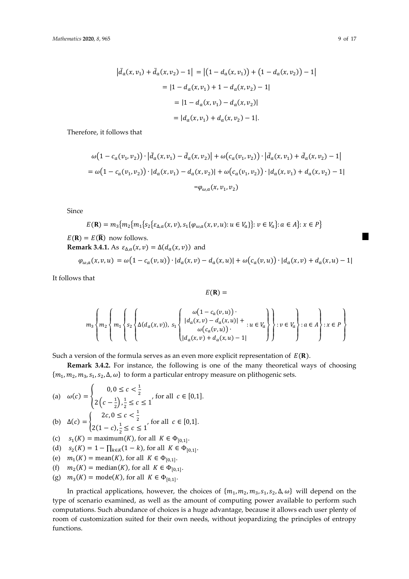$$
\begin{aligned} \left| \bar{d}_a(x, v_1) + \bar{d}_a(x, v_2) - 1 \right| &= \left| \left( 1 - d_a(x, v_1) \right) + \left( 1 - d_a(x, v_2) \right) - 1 \right| \\ &= \left| 1 - d_a(x, v_1) + 1 - d_a(x, v_2) - 1 \right| \\ &= \left| 1 - d_a(x, v_1) - d_a(x, v_2) \right| \\ &= \left| d_a(x, v_1) + d_a(x, v_2) - 1 \right|. \end{aligned}
$$

Therefore, it follows that

$$
\omega(1 - c_a(v_1, v_2)) \cdot |\bar{d}_a(x, v_1) - \bar{d}_a(x, v_2)| + \omega(c_a(v_1, v_2)) \cdot |\bar{d}_a(x, v_1) + \bar{d}_a(x, v_2) - 1|
$$
  
=  $\omega(1 - c_a(v_1, v_2)) \cdot |d_a(x, v_1) - d_a(x, v_2)| + \omega(c_a(v_1, v_2)) \cdot |d_a(x, v_1) + d_a(x, v_2) - 1|$   
=  $\varphi_{\omega, a}(x, v_1, v_2)$ 

Since

$$
E(\mathbf{R}) = m_3 \{ m_2 \{ m_1 \{ s_2 \{ \varepsilon_{\Delta, a}(x, v), s_1 \{ \varphi_{\omega, a}(x, v, u) : u \in V_a \} \} : v \in V_a \} : a \in A \} : x \in P \}
$$
  

$$
E(\mathbf{R}) = E(\overline{\mathbf{R}})
$$
 now follows.

**Remark 3.4.1.** As  $\varepsilon_{\Delta,a}(x, v) = \Delta(d_a(x, v))$  and

$$
\varphi_{\omega,a}(x,v,u) = \omega(1 - c_a(v,u)) \cdot |d_a(x,v) - d_a(x,u)| + \omega(c_a(v,u)) \cdot |d_a(x,v) + d_a(x,u) - 1|
$$

It follows that

 $E(\mathbf{R}) =$ 

$$
m_3\left\{m_2\left\{m_1\left\{s_2\left\{\Delta(d_a(x,v)),\ s_1\left\{\begin{aligned}\omega(1-c_a(v,u))\cdot\\|d_a(x,v)-d_a(x,u)|+\\ \omega(c_a(v,u))\cdot\\|d_a(x,v)+d_a(x,u)-1\end{aligned}\right\}\right\};v\in V_a\right\}\colon a\in A\right\}:\alpha\in P\right\}
$$

Such a version of the formula serves as an even more explicit representation of  $E(\mathbf{R})$ .

**Remark 3.4.2.** For instance, the following is one of the many theoretical ways of choosing  ${m_1, m_2, m_3, s_1, s_2, \Delta, \omega}$  to form a particular entropy measure on plithogenic sets.

(a) 
$$
\omega(c) = \begin{cases} 0, 0 \le c < \frac{1}{2} \\ 2(c - \frac{1}{2}), \frac{1}{2} \le c \le 1 \end{cases}
$$
 for all  $c \in [0, 1]$ .

(b) 
$$
\Delta(c) = \begin{cases} 2c, 0 \le c < \frac{1}{2} \\ 2(1-c), \frac{1}{2} \le c \le 1 \end{cases}
$$
 for all  $c \in [0,1]$ .

- (c)  $s_1(K) = \text{maximum}(K)$ , for all  $K \in \Phi_{[0,1]}$ .
- (d)  $s_2(K) = 1 \prod_{k \in K} (1 k)$ , for all  $K \in \Phi_{[0,1]}$ .
- (e)  $m_1(K) = \text{mean}(K)$ , for all  $K \in \Phi_{[0,1]}$ .
- (f)  $m_2(K) = \text{median}(K)$ , for all  $K \in \Phi_{[0,1]}$ .
- (g)  $m_3(K) = mode(K)$ , for all  $K \in \Phi_{[0,1]}$ .

In practical applications, however, the choices of  $\{m_1, m_2, m_3, s_1, s_2, \Delta, \omega\}$  will depend on the type of scenario examined, as well as the amount of computing power available to perform such computations. Such abundance of choices is a huge advantage, because it allows each user plenty of room of customization suited for their own needs, without jeopardizing the principles of entropy functions.

 $\blacksquare$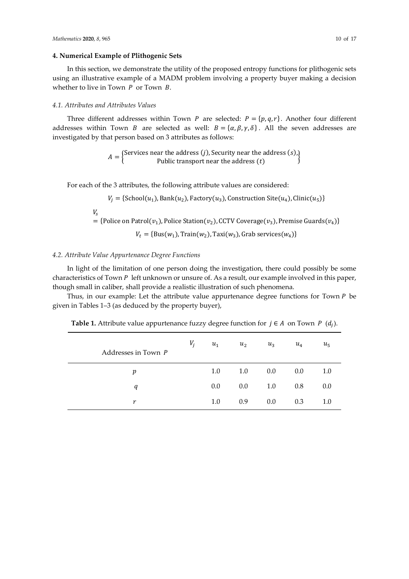#### **4. Numerical Example of Plithogenic Sets**

In this section, we demonstrate the utility of the proposed entropy functions for plithogenic sets using an illustrative example of a MADM problem involving a property buyer making a decision whether to live in Town  $P$  or Town  $B$ .

#### *4.1. Attributes and Attributes Values*

Three different addresses within Town P are selected:  $P = \{p, q, r\}$ . Another four different addresses within Town *B* are selected as well:  $B = {\alpha, \beta, \gamma, \delta}$ . All the seven addresses are investigated by that person based on 3 attributes as follows:

 $A = \left\{ \begin{matrix} \text{Services near the address } (j), \text{Security near the address } (s), \text{Public transport near the address } (t) \end{matrix} \right\}$ 

For each of the 3 attributes, the following attribute values are considered:

$$
V_j = \{\text{School}(u_1), \text{Bank}(u_2), \text{Factory}(u_3), \text{Construction Site}(u_4), \text{Clinic}(u_5)\}
$$

 $V_{\rm c}$ 

= {Police on Patrol( $v_1$ ), Police Station( $v_2$ ), CCTV Coverage( $v_3$ ), Premise Guards( $v_4$ )}

 $V_t = {\text{Bus}(w_1), \text{Train}(w_2), \text{Tax}(w_3), \text{Grab services}(w_4)}$ 

#### *4.2. Attribute Value Appurtenance Degree Functions*

In light of the limitation of one person doing the investigation, there could possibly be some characteristics of Town  $P$  left unknown or unsure of. As a result, our example involved in this paper, though small in caliber, shall provide a realistic illustration of such phenomena.

Thus, in our example: Let the attribute value appurtenance degree functions for Town  $P$  be given in Tables 1–3 (as deduced by the property buyer),

| Addresses in Town P | $V_i$ | $u_1$ | $u_2$ | $u_3$ | $u_4$ | $u_{5}$ |
|---------------------|-------|-------|-------|-------|-------|---------|
| p                   |       | 1.0   | 1.0   | 0.0   | 0.0   | 1.0     |
| q                   |       | 0.0   | 0.0   | 1.0   | 0.8   | 0.0     |
| r                   |       | 1.0   | 0.9   | 0.0   | 0.3   | 1.0     |

**Table 1.** Attribute value appurtenance fuzzy degree function for  $j \in A$  on Town  $P$  (d<sub>i</sub>).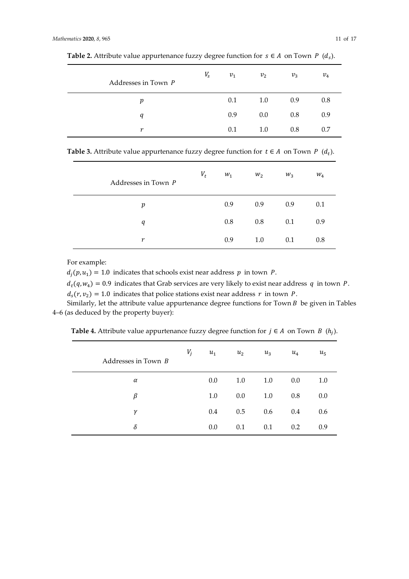| Addresses in Town $P$ | $V_{S}$ | $v_1$ | v <sub>2</sub> | $v_3$ | $v_4$ |
|-----------------------|---------|-------|----------------|-------|-------|
| p                     |         | 0.1   | 1.0            | 0.9   | 0.8   |
| q                     |         | 0.9   | 0.0            | 0.8   | 0.9   |
| r                     |         | 0.1   | 1.0            | 0.8   | 0.7   |

**Table 2.** Attribute value appurtenance fuzzy degree function for *s* ∈ *A* on Town *P* ( $d_s$ ).

**Table 3.** Attribute value appurtenance fuzzy degree function for  $t \in A$  on Town  $P$  ( $d_t$ ).

| Addresses in Town P | $V_t$ | $W_1$ | $W_2$ | $W_3$ | $W_4$ |
|---------------------|-------|-------|-------|-------|-------|
| p                   |       | 0.9   | 0.9   | 0.9   | 0.1   |
| q                   |       | 0.8   | 0.8   | 0.1   | 0.9   |
| r                   |       | 0.9   | 1.0   | 0.1   | 0.8   |

For example:

 $d_i(p, u_1) = 1.0$  indicates that schools exist near address p in town P.

 $d_t(q, w_4) = 0.9$  indicates that Grab services are very likely to exist near address q in town P.  $d_s(r, v_2) = 1.0$  indicates that police stations exist near address r in town P.

Similarly, let the attribute value appurtenance degree functions for Town  $B$  be given in Tables 4–6 (as deduced by the property buyer):

| Addresses in Town B | $V_j$ | $u_1$ | u <sub>2</sub> | $u_3$ | $u_4$ | $u_{5}$ |
|---------------------|-------|-------|----------------|-------|-------|---------|
| α                   |       | 0.0   | 1.0            | 1.0   | 0.0   | 1.0     |
| β                   |       | 1.0   | 0.0            | 1.0   | 0.8   | 0.0     |
| γ                   |       | 0.4   | 0.5            | 0.6   | 0.4   | 0.6     |
| $\delta$            |       | 0.0   | 0.1            | 0.1   | 0.2   | 0.9     |

**Table 4.** Attribute value appurtenance fuzzy degree function for  $j \in A$  on Town  $B(h_j)$ .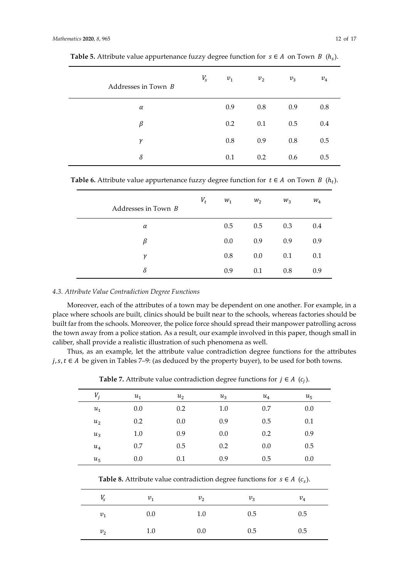| <b>Table 5.</b> Attribute value appurtenance fuzzy degree function for $s \in A$ on Town $B(hs)$ . |  |  |                 |  |  |  |  |
|----------------------------------------------------------------------------------------------------|--|--|-----------------|--|--|--|--|
|                                                                                                    |  |  | 12 <sub>2</sub> |  |  |  |  |

| Addresses in Town B | $V_s$ | $\mathcal{V}_1$ | v <sub>2</sub> | $v_3$ | $v_4$ |
|---------------------|-------|-----------------|----------------|-------|-------|
| α                   |       | 0.9             | 0.8            | 0.9   | 0.8   |
| β                   |       | 0.2             | 0.1            | 0.5   | 0.4   |
| γ                   |       | 0.8             | 0.9            | 0.8   | 0.5   |
| δ                   |       | 0.1             | 0.2            | 0.6   | 0.5   |

**Table 6.** Attribute value appurtenance fuzzy degree function for  $t \in A$  on Town  $B(h_t)$ .

| Addresses in Town $B$ | $V_t$ | $W_1$ | $W_2$ | $W_3$ | $W_4$ |
|-----------------------|-------|-------|-------|-------|-------|
| $\alpha$              |       | 0.5   | 0.5   | 0.3   | 0.4   |
| β                     |       | 0.0   | 0.9   | 0.9   | 0.9   |
| γ                     |       | 0.8   | 0.0   | 0.1   | 0.1   |
| δ                     |       | 0.9   | 0.1   | 0.8   | 0.9   |

## *4.3. Attribute Value Contradiction Degree Functions*

Moreover, each of the attributes of a town may be dependent on one another. For example, in a place where schools are built, clinics should be built near to the schools, whereas factories should be built far from the schools. Moreover, the police force should spread their manpower patrolling across the town away from a police station. As a result, our example involved in this paper, though small in caliber, shall provide a realistic illustration of such phenomena as well.

Thus, as an example, let the attribute value contradiction degree functions for the attributes  $j, s, t \in A$  be given in Tables 7–9: (as deduced by the property buyer), to be used for both towns.

| $V_i$          | $u_1$ | u <sub>2</sub> | $u_3$ | $u_4$ | $u_{5}$ |
|----------------|-------|----------------|-------|-------|---------|
| $u_1$          | 0.0   | 0.2            | 1.0   | 0.7   | 0.0     |
| u <sub>2</sub> | 0.2   | 0.0            | 0.9   | 0.5   | 0.1     |
| $u_3$          | 1.0   | 0.9            | 0.0   | 0.2   | 0.9     |
| $u_4$          | 0.7   | 0.5            | 0.2   | 0.0   | 0.5     |
| $u_{5}$        | 0.0   | 0.1            | 0.9   | 0.5   | 0.0     |

**Table 7.** Attribute value contradiction degree functions for  $j \in A$  ( $c_j$ ).

**Table 8.** Attribute value contradiction degree functions for  $s \in A$  ( $c_s$ ).

| $V_{S}$ | $v_1$ | v <sub>2</sub> | $v_3$ | $v_4$ |
|---------|-------|----------------|-------|-------|
| $v_1$   | 0.0   | 1.0            | 0.5   | 0.5   |
| $v_2$   | 1.0   | 0.0            | 0.5   | 0.5   |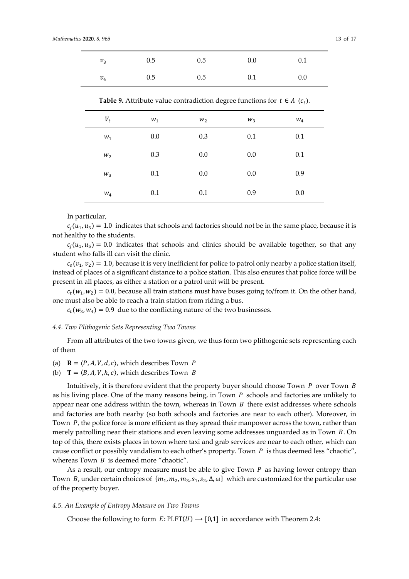| $v_3$ | 0.5 | 0.5 | $0.0\,$ | 0.1 |
|-------|-----|-----|---------|-----|
| $v_4$ | 0.5 | 0.5 | 0.1     | 0.0 |

**Table 9.** Attribute value contradiction degree functions for  $t \in A$  ( $c_t$ ).

| $W_1$ | $W_2$ | $W_3$ | $W_4$ |
|-------|-------|-------|-------|
| 0.0   | 0.3   | 0.1   | 0.1   |
| 0.3   | 0.0   | 0.0   | 0.1   |
| 0.1   | 0.0   | 0.0   | 0.9   |
| 0.1   | 0.1   | 0.9   | 0.0   |
|       |       |       |       |

#### In particular,

 $c_i(u_1, u_3) = 1.0$  indicates that schools and factories should not be in the same place, because it is not healthy to the students.

 $c_i(u_1, u_5) = 0.0$  indicates that schools and clinics should be available together, so that any student who falls ill can visit the clinic.

 $c_s(v_1, v_2) = 1.0$ , because it is very inefficient for police to patrol only nearby a police station itself, instead of places of a significant distance to a police station. This also ensures that police force will be present in all places, as either a station or a patrol unit will be present.

 $c_t(w_1, w_2) = 0.0$ , because all train stations must have buses going to/from it. On the other hand, one must also be able to reach a train station from riding a bus.

 $c_t(w_3, w_4) = 0.9$  due to the conflicting nature of the two businesses.

#### *4.4. Two Plithogenic Sets Representing Two Towns*

From all attributes of the two towns given, we thus form two plithogenic sets representing each of them

- (a)  $\mathbf{R} = \langle P, A, V, d, c \rangle$ , which describes Town P
- (b)  $\mathbf{T} = \langle B, A, V, h, c \rangle$ , which describes Town B

Intuitively, it is therefore evident that the property buyer should choose Town  $P$  over Town  $B$ as his living place. One of the many reasons being, in Town  $P$  schools and factories are unlikely to appear near one address within the town, whereas in Town  $B$  there exist addresses where schools and factories are both nearby (so both schools and factories are near to each other). Moreover, in Town  $P$ , the police force is more efficient as they spread their manpower across the town, rather than merely patrolling near their stations and even leaving some addresses unguarded as in Town  $B$ . On top of this, there exists places in town where taxi and grab services are near to each other, which can cause conflict or possibly vandalism to each other's property. Town  $P$  is thus deemed less "chaotic", whereas Town  $B$  is deemed more "chaotic".

As a result, our entropy measure must be able to give Town  $P$  as having lower entropy than Town B, under certain choices of  $\{m_1, m_2, m_3, s_1, s_2, \Delta, \omega\}$  which are customized for the particular use of the property buyer.

#### *4.5. An Example of Entropy Measure on Two Towns*

Choose the following to form  $E: PLFT(U) \rightarrow [0,1]$  in accordance with Theorem 2.4: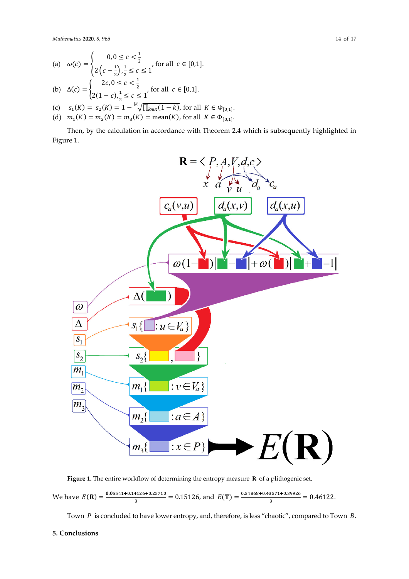(a) 
$$
\omega(c) = \begin{cases} 0, 0 \le c < \frac{1}{2} \\ 2(c - \frac{1}{2}), \frac{1}{2} \le c \le 1' \end{cases}
$$
 for all  $c \in [0, 1]$ .

(b) 
$$
\Delta(c) = \begin{cases} 2c, 0 \le c < \frac{1}{2} \\ 2(1-c), \frac{1}{2} \le c \le 1 \end{cases}
$$
 for all  $c \in [0,1]$ .

(c) 
$$
s_1(K) = s_2(K) = 1 - \sqrt[k]{\prod_{k \in K} (1 - k)}
$$
, for all  $K \in \Phi_{[0,1]}$ .

(d)  $m_1(K) = m_2(K) = m_3(K) = \text{mean}(K)$ , for all  $K \in \Phi_{[0,1]}$ .

Then, by the calculation in accordance with Theorem 2.4 which is subsequently highlighted in Figure 1.



Figure 1. The entire workflow of determining the entropy measure **R** of a plithogenic set.

We have  $E(\mathbf{R}) = \frac{0.05541 + 0.14126 + 0.25710}{3} = 0.15126$ , and  $E(\mathbf{T}) = \frac{0.54868 + 0.43571 + 0.39926}{3} = 0.46122$ .

Town  $P$  is concluded to have lower entropy, and, therefore, is less "chaotic", compared to Town  $B$ .

## **5. Conclusions**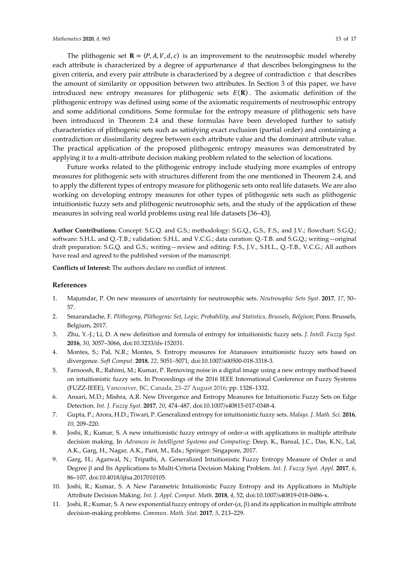The plithogenic set  $\mathbf{R} = \langle P, A, V, d, c \rangle$  is an improvement to the neutrosophic model whereby each attribute is characterized by a degree of appurtenance  $d$  that describes belongingness to the given criteria, and every pair attribute is characterized by a degree of contradiction  $c$  that describes the amount of similarity or opposition between two attributes. In Section 3 of this paper, we have introduced new entropy measures for plithogenic sets  $E(R)$ . The axiomatic definition of the plithogenic entropy was defined using some of the axiomatic requirements of neutrosophic entropy and some additional conditions. Some formulae for the entropy measure of plithogenic sets have been introduced in Theorem 2.4 and these formulas have been developed further to satisfy characteristics of plithogenic sets such as satisfying exact exclusion (partial order) and containing a contradiction or dissimilarity degree between each attribute value and the dominant attribute value. The practical application of the proposed plithogenic entropy measures was demonstrated by applying it to a multi-attribute decision making problem related to the selection of locations.

Future works related to the plithogenic entropy include studying more examples of entropy measures for plithogenic sets with structures different from the one mentioned in Theorem 2.4, and to apply the different types of entropy measure for plithogenic sets onto real life datasets. We are also working on developing entropy measures for other types of plithogenic sets such as plithogenic intuitionistic fuzzy sets and plithogenic neutrosophic sets, and the study of the application of these measures in solving real world problems using real life datasets [36–43].

**Author Contributions:** Concept: S.G.Q. and G.S.; methodology: S.G.Q., G.S., F.S., and J.V.; flowchart: S.G.Q.; software: S.H.L. and Q.-T.B.; validation: S.H.L. and V.C.G.; data curation: Q.-T.B. and S.G.Q.; writing—original draft preparation: S.G.Q. and G.S.; writing—review and editing: F.S., J.V., S.H.L., Q.-T.B., V.C.G.; All authors have read and agreed to the published version of the manuscript.

**Conflicts of Interest:** The authors declare no conflict of interest.

#### **References**

- 1. Majumdar, P. On new measures of uncertainty for neutrosophic sets. *Neutrosophic Sets Syst*. **2017**, *17*, 50– 57.
- 2. Smarandache, F. *Plithogeny, Plithogenic Set, Logic, Probability, and Statistics, Brussels, Belgium*; Pons: Brussels, Belgium, 2017.
- 3. Zhu, Y.-J.; Li, D. A new definition and formula of entropy for intuitionistic fuzzy sets. *J. Intell. Fuzzy Syst.* **2016**, *30*, 3057–3066, doi:10.3233/ifs-152031.
- 4. Montes, S.; Pal, N.R.; Montes, S. Entropy measures for Atanassov intuitionistic fuzzy sets based on divergence. *Soft Comput.* **2018**, *22*, 5051–5071, doi:10.1007/s00500-018-3318-3.
- 5. Farnoosh, R.; Rahimi, M.; Kumar, P. Removing noise in a digital image using a new entropy method based on intuitionistic fuzzy sets. In Proceedings of the 2016 IEEE International Conference on Fuzzy Systems (FUZZ-IEEE), Vancouver, BC, Canada, 23–27 August 2016; pp. 1328–1332.
- 6. Ansari, M.D.; Mishra, A.R. New Divergence and Entropy Measures for Intuitionistic Fuzzy Sets on Edge Detection. *Int. J. Fuzzy Syst.* **2017**, *20*, 474–487, doi:10.1007/s40815-017-0348-4.
- 7. Gupta, P.; Arora, H.D.; Tiwari, P. Generalized entropy for intuitionistic fuzzy sets. *Malays. J. Math. Sci*. **2016**, *10*, 209–220.
- 8. Joshi, R.; Kumar, S. A new intuitionistic fuzzy entropy of order-α with applications in multiple attribute decision making. In *Advances in Intelligent Systems and Computing*; Deep, K., Bansal, J.C., Das, K.N., Lal, A.K., Garg, H., Nagar, A.K., Pant, M., Eds.; Springer: Singapore, 2017.
- 9. Garg, H.; Agarwal, N.; Tripathi, A. Generalized Intuitionistic Fuzzy Entropy Measure of Order  $\alpha$  and Degree β and Its Applications to Multi-Criteria Decision Making Problem. *Int. J. Fuzzy Syst. Appl.* **2017**, *6*, 86–107, doi:10.4018/ijfsa.2017010105.
- 10. Joshi, R.; Kumar, S. A New Parametric Intuitionistic Fuzzy Entropy and its Applications in Multiple Attribute Decision Making. *Int. J. Appl. Comput. Math.* **2018**, *4*, 52, doi:10.1007/s40819-018-0486-x.
- 11. Joshi, R.; Kumar, S. A new exponential fuzzy entropy of order-(α, β) and its application in multiple attribute decision-making problems. *Commun. Math. Stat*. **2017**, *5*, 213–229.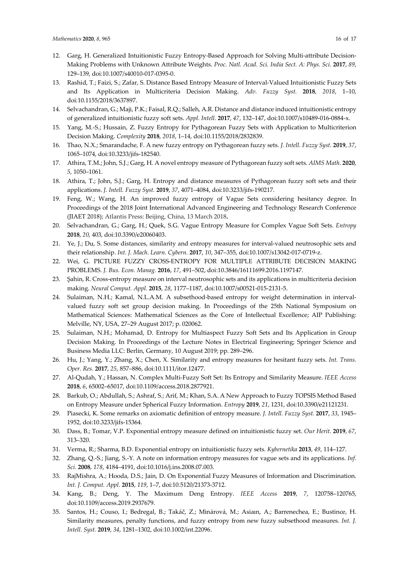- 12. Garg, H. Generalized Intuitionistic Fuzzy Entropy-Based Approach for Solving Multi-attribute Decision-Making Problems with Unknown Attribute Weights. *Proc. Natl. Acad. Sci. India Sect. A: Phys. Sci.* **2017**, *89*, 129–139, doi:10.1007/s40010-017-0395-0.
- 13. Rashid, T.; Faizi, S.; Zafar, S. Distance Based Entropy Measure of Interval-Valued Intuitionistic Fuzzy Sets and Its Application in Multicriteria Decision Making. *Adv. Fuzzy Syst.* **2018**, *2018*, 1–10, doi:10.1155/2018/3637897.
- 14. Selvachandran, G.; Maji, P.K.; Faisal, R.Q.; Salleh, A.R. Distance and distance induced intuitionistic entropy of generalized intuitionistic fuzzy soft sets. *Appl. Intell.* **2017**, *47*, 132–147, doi:10.1007/s10489-016-0884-x.
- 15. Yang, M.-S.; Hussain, Z. Fuzzy Entropy for Pythagorean Fuzzy Sets with Application to Multicriterion Decision Making. *Complexity* **2018**, *2018*, 1–14, doi:10.1155/2018/2832839.
- 16. Thao, N.X.; Smarandache, F. A new fuzzy entropy on Pythagorean fuzzy sets. *J. Intell. Fuzzy Syst.* **2019**, *37*, 1065–1074, doi:10.3233/jifs-182540.
- 17. Athira, T.M.; John, S.J.; Garg, H. A novel entropy measure of Pythagorean fuzzy soft sets. *AIMS Math*. **2020**, *5*, 1050–1061.
- 18. Athira, T.; John, S.J.; Garg, H. Entropy and distance measures of Pythagorean fuzzy soft sets and their applications. *J. Intell. Fuzzy Syst.* **2019**, *37*, 4071–4084, doi:10.3233/jifs-190217.
- 19. Feng, W.; Wang, H. An improved fuzzy entropy of Vague Sets considering hesitancy degree. In Proceedings of the 2018 Joint International Advanced Engineering and Technology Research Conference (JIAET 2018); Atlantis Press: Beijing, China, 13 March 2018**.**
- 20. Selvachandran, G.; Garg, H.; Quek, S.G. Vague Entropy Measure for Complex Vague Soft Sets. *Entropy* **2018**, *20*, 403, doi:10.3390/e20060403.
- 21. Ye, J.; Du, S. Some distances, similarity and entropy measures for interval-valued neutrosophic sets and their relationship. *Int. J. Mach. Learn. Cybern.* **2017**, *10*, 347–355, doi:10.1007/s13042-017-0719-z.
- 22. Wei, G. PICTURE FUZZY CROSS-ENTROPY FOR MULTIPLE ATTRIBUTE DECISION MAKING PROBLEMS. *J. Bus. Econ. Manag.* **2016**, *17*, 491–502, doi:10.3846/16111699.2016.1197147.
- 23. Şahin, R. Cross-entropy measure on interval neutrosophic sets and its applications in multicriteria decision making. *Neural Comput. Appl.* **2015**, *28*, 1177–1187, doi:10.1007/s00521-015-2131-5.
- 24. Sulaiman, N.H.; Kamal, N.L.A.M. A subsethood-based entropy for weight determination in intervalvalued fuzzy soft set group decision making. In Proceedings of the 25th National Symposium on Mathematical Sciences: Mathematical Sciences as the Core of Intellectual Excellence; AIP Publishing: Melville, NY, USA, 27–29 August 2017; p. 020062.
- 25. Sulaiman, N.H.; Mohamad, D. Entropy for Multiaspect Fuzzy Soft Sets and Its Application in Group Decision Making. In Proceedings of the Lecture Notes in Electrical Engineering; Springer Science and Business Media LLC: Berlin, Germany, 10 August 2019; pp. 289–296.
- 26. Hu, J.; Yang, Y.; Zhang, X.; Chen, X. Similarity and entropy measures for hesitant fuzzy sets. *Int. Trans. Oper. Res.* **2017**, *25*, 857–886, doi:10.1111/itor.12477.
- 27. Al-Qudah, Y.; Hassan, N. Complex Multi-Fuzzy Soft Set: Its Entropy and Similarity Measure. *IEEE Access* **2018**, *6*, 65002–65017, doi:10.1109/access.2018.2877921.
- 28. Barkub, O.; Abdullah, S.; Ashraf, S.; Arif, M.; Khan, S.A. A New Approach to Fuzzy TOPSIS Method Based on Entropy Measure under Spherical Fuzzy Information. *Entropy* **2019**, *21*, 1231, doi:10.3390/e21121231.
- 29. Piasecki, K. Some remarks on axiomatic definition of entropy measure. *J. Intell. Fuzzy Syst.* **2017**, *33*, 1945– 1952, doi:10.3233/jifs-15364.
- 30. Dass, B.; Tomar, V.P. Exponential entropy measure defined on intuitionistic fuzzy set. *Our Herit*. **2019**, *67*, 313–320.
- 31. Verma, R.; Sharma, B.D. Exponential entropy on intuitionistic fuzzy sets. *Kybernetika* **2013**, *49*, 114–127.
- 32. Zhang, Q.-S.; Jiang, S.-Y. A note on information entropy measures for vague sets and its applications. *Inf. Sci.* **2008**, *178*, 4184–4191, doi:10.1016/j.ins.2008.07.003.
- 33. RajMishra, A.; Hooda, D.S.; Jain, D. On Exponential Fuzzy Measures of Information and Discrimination. *Int. J. Comput. Appl.* **2015**, *119*, 1–7, doi:10.5120/21373-3712.
- 34. Kang, B.; Deng, Y. The Maximum Deng Entropy. *IEEE Access* **2019**, *7*, 120758–120765, doi:10.1109/access.2019.2937679.
- 35. Santos, H.; Couso, I.; Bedregal, B.; Takáč, Z.; Minárová, M.; Asiaın, A.; Barrenechea, E.; Bustince, H. Similarity measures, penalty functions, and fuzzy entropy from new fuzzy subsethood measures. *Int. J. Intell. Syst.* **2019**, *34*, 1281–1302, doi:10.1002/int.22096.